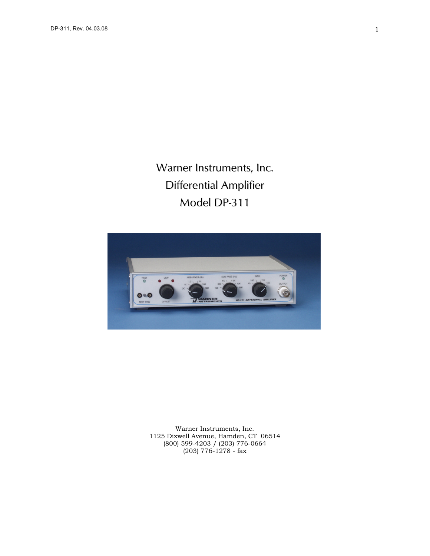Warner Instruments, Inc. Differential Amplifier Model DP-311



Warner Instruments, Inc. 1125 Dixwell Avenue, Hamden, CT 06514 (800) 599-4203 / (203) 776-0664 (203) 776-1278 - fax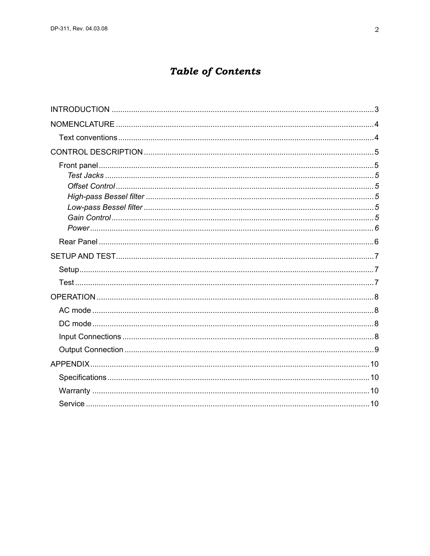# **Table of Contents**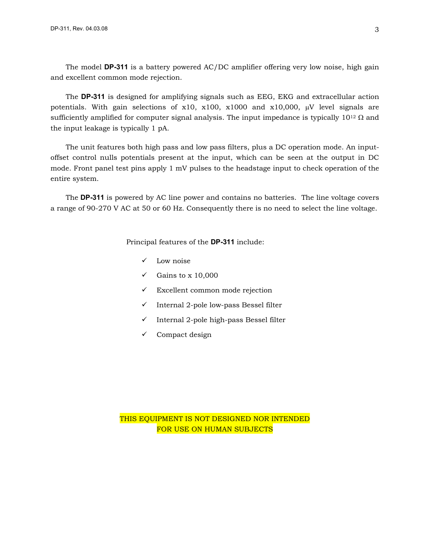<span id="page-2-0"></span>The model **DP-311** is a battery powered AC/DC amplifier offering very low noise, high gain and excellent common mode rejection.

The **DP-311** is designed for amplifying signals such as EEG, EKG and extracellular action potentials. With gain selections of  $x10$ ,  $x100$ ,  $x1000$  and  $x10,000$ ,  $\mu$ V level signals are sufficiently amplified for computer signal analysis. The input impedance is typically  $10^{12} \Omega$  and the input leakage is typically 1 pA.

The unit features both high pass and low pass filters, plus a DC operation mode. An inputoffset control nulls potentials present at the input, which can be seen at the output in DC mode. Front panel test pins apply 1 mV pulses to the headstage input to check operation of the entire system.

The **DP-311** is powered by AC line power and contains no batteries. The line voltage covers a range of 90-270 V AC at 50 or 60 Hz. Consequently there is no need to select the line voltage.

Principal features of the **DP-311** include:

- $\checkmark$  Low noise
- $\checkmark$  Gains to x 10,000
- $\checkmark$  Excellent common mode rejection
- $\checkmark$  Internal 2-pole low-pass Bessel filter
- $\checkmark$  Internal 2-pole high-pass Bessel filter
- $\checkmark$  Compact design

THIS EQUIPMENT IS NOT DESIGNED NOR INTENDED FOR USE ON HUMAN SUBJECTS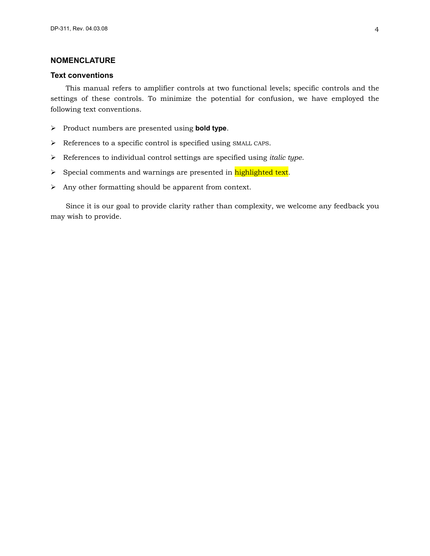## <span id="page-3-0"></span>**NOMENCLATURE**

## **Text conventions**

This manual refers to amplifier controls at two functional levels; specific controls and the settings of these controls. To minimize the potential for confusion, we have employed the following text conventions.

- ¾ Product numbers are presented using **bold type**.
- ¾ References to a specific control is specified using SMALL CAPS.
- ¾ References to individual control settings are specified using *italic type*.
- > Special comments and warnings are presented in highlighted text.
- $\triangleright$  Any other formatting should be apparent from context.

Since it is our goal to provide clarity rather than complexity, we welcome any feedback you may wish to provide.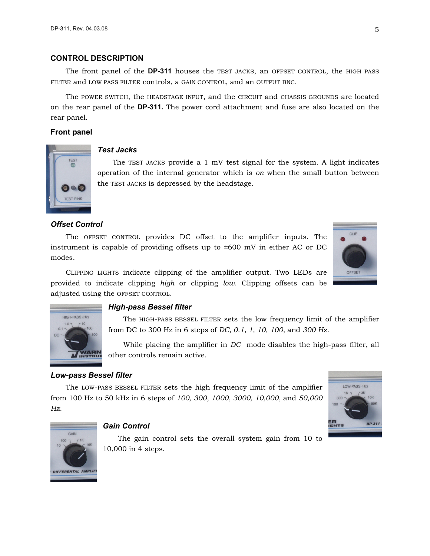## <span id="page-4-0"></span>**CONTROL DESCRIPTION**

The front panel of the **DP-311** houses the TEST JACKS, an OFFSET CONTROL, the HIGH PASS FILTER and LOW PASS FILTER controls, a GAIN CONTROL, and an OUTPUT BNC.

The POWER SWITCH, the HEADSTAGE INPUT, and the CIRCUIT and CHASSIS GROUNDS are located on the rear panel of the **DP-311.** The power cord attachment and fuse are also located on the rear panel.

### **Front panel**



## *Test Jacks*

The TEST JACKS provide a  $1 \text{ mV}$  test signal for the system. A light indicates operation of the internal generator which is *on* when the small button between the TEST JACKS is depressed by the headstage.

## *Offset Control*

The OFFSET CONTROL provides DC offset to the amplifier inputs. The instrument is capable of providing offsets up to ±600 mV in either AC or DC modes.

CLIPPING LIGHTS indicate clipping of the amplifier output. Two LEDs are provided to indicate clipping *high* or clipping *low*. Clipping offsets can be **OFFSET** 



#### *High-pass Bessel filter*

The HIGH-PASS BESSEL FILTER sets the low frequency limit of the amplifier from DC to 300 Hz in 6 steps of *DC, 0.1, 1, 10, 100,* and *300 Hz*.

While placing the amplifier in *DC* mode disables the high-pass filter, all other controls remain active.

#### *Low-pass Bessel filter*

adjusted using the OFFSET CONTROL.

The LOW-PASS BESSEL FILTER sets the high frequency limit of the amplifier from 100 Hz to 50 kHz in 6 steps of *100, 300, 1000, 3000, 10,000,* and *50,000 Hz*.





## *Gain Control*

The gain control sets the overall system gain from 10 to 10,000 in 4 steps.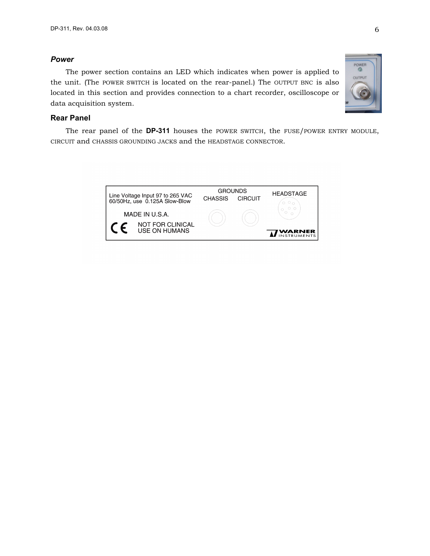## <span id="page-5-0"></span>*Power*

The power section contains an LED which indicates when power is applied to the unit. (The POWER SWITCH is located on the rear-panel.) The OUTPUT BNC is also located in this section and provides connection to a chart recorder, oscilloscope or data acquisition system.



## **Rear Panel**

The rear panel of the **DP-311** houses the POWER SWITCH, the FUSE/POWER ENTRY MODULE, CIRCUIT and CHASSIS GROUNDING JACKS and the HEADSTAGE CONNECTOR.

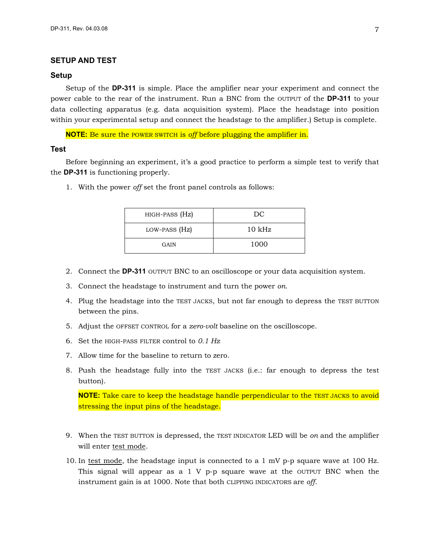## <span id="page-6-0"></span>**SETUP AND TEST**

#### **Setup**

Setup of the **DP-311** is simple. Place the amplifier near your experiment and connect the power cable to the rear of the instrument. Run a BNC from the OUTPUT of the **DP-311** to your data collecting apparatus (e.g. data acquisition system). Place the headstage into position within your experimental setup and connect the headstage to the amplifier.) Setup is complete.

**NOTE:** Be sure the POWER SWITCH is *off* before plugging the amplifier in.

#### **Test**

Before beginning an experiment, it's a good practice to perform a simple test to verify that the **DP-311** is functioning properly.

1. With the power *off* set the front panel controls as follows:

| HIGH-PASS (Hz) | DC               |
|----------------|------------------|
| LOW-PASS (Hz)  | $10 \text{ kHz}$ |
| GAIN           | 1000             |

- 2. Connect the **DP-311** OUTPUT BNC to an oscilloscope or your data acquisition system.
- 3. Connect the headstage to instrument and turn the power *on*.
- 4. Plug the headstage into the TEST JACKS, but not far enough to depress the TEST BUTTON between the pins.
- 5. Adjust the OFFSET CONTROL for a *zero-volt* baseline on the oscilloscope.
- 6. Set the HIGH-PASS FILTER control to *0.1 Hz*
- 7. Allow time for the baseline to return to zero.
- 8. Push the headstage fully into the TEST JACKS (i.e.: far enough to depress the test button).

**NOTE:** Take care to keep the headstage handle perpendicular to the TEST JACKS to avoid stressing the input pins of the headstage.

- 9. When the TEST BUTTON is depressed, the TEST INDICATOR LED will be *on* and the amplifier will enter test mode.
- 10. In test mode, the headstage input is connected to a 1 mV p-p square wave at 100 Hz. This signal will appear as a  $1 \nV$  p-p square wave at the OUTPUT BNC when the instrument gain is at 1000. Note that both CLIPPING INDICATORS are *off*.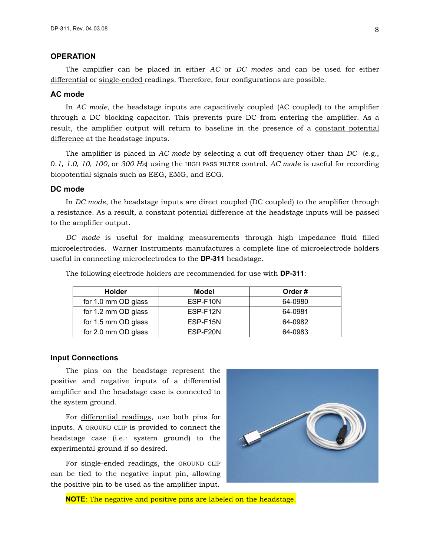## <span id="page-7-0"></span>**OPERATION**

The amplifier can be placed in either *AC* or *DC modes* and can be used for either differential or single-ended readings. Therefore, four configurations are possible.

## **AC mode**

In *AC mode*, the headstage inputs are capacitively coupled (AC coupled) to the amplifier through a DC blocking capacitor. This prevents pure DC from entering the amplifier. As a result, the amplifier output will return to baseline in the presence of a constant potential difference at the headstage inputs.

The amplifier is placed in *AC mode* by selecting a cut off frequency other than *DC* (e.g., 0*.1, 1.0, 10, 100,* or *300 Hz*) using the HIGH PASS FILTER control. *AC mode* is useful for recording biopotential signals such as EEG, EMG, and ECG.

## **DC mode**

In *DC mode*, the headstage inputs are direct coupled (DC coupled) to the amplifier through a resistance. As a result, a constant potential difference at the headstage inputs will be passed to the amplifier output.

*DC mode* is useful for making measurements through high impedance fluid filled microelectrodes. Warner Instruments manufactures a complete line of microelectrode holders useful in connecting microelectrodes to the **DP-311** headstage.

| <b>Holder</b>       | Model    | Order#  |
|---------------------|----------|---------|
| for 1.0 mm OD glass | ESP-F10N | 64-0980 |
| for 1.2 mm OD glass | ESP-F12N | 64-0981 |
| for 1.5 mm OD glass | ESP-F15N | 64-0982 |
| for 2.0 mm OD glass | ESP-F20N | 64-0983 |

The following electrode holders are recommended for use with **DP-311**:

#### **Input Connections**

The pins on the headstage represent the positive and negative inputs of a differential amplifier and the headstage case is connected to the system ground.

For differential readings, use both pins for inputs. A GROUND CLIP is provided to connect the headstage case (i.e.: system ground) to the experimental ground if so desired.

For single-ended readings, the GROUND CLIP can be tied to the negative input pin, allowing the positive pin to be used as the amplifier input.



**NOTE**: The negative and positive pins are labeled on the headstage.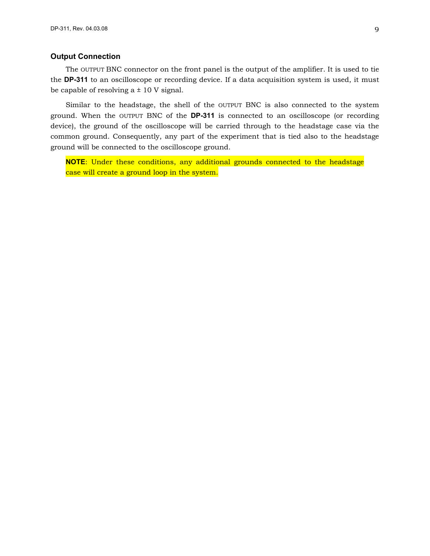## <span id="page-8-0"></span>**Output Connection**

The OUTPUT BNC connector on the front panel is the output of the amplifier. It is used to tie the **DP-311** to an oscilloscope or recording device. If a data acquisition system is used, it must be capable of resolving  $a \pm 10$  V signal.

Similar to the headstage, the shell of the OUTPUT BNC is also connected to the system ground. When the OUTPUT BNC of the **DP-311** is connected to an oscilloscope (or recording device), the ground of the oscilloscope will be carried through to the headstage case via the common ground. Consequently, any part of the experiment that is tied also to the headstage ground will be connected to the oscilloscope ground.

**NOTE**: Under these conditions, any additional grounds connected to the headstage case will create a ground loop in the system.